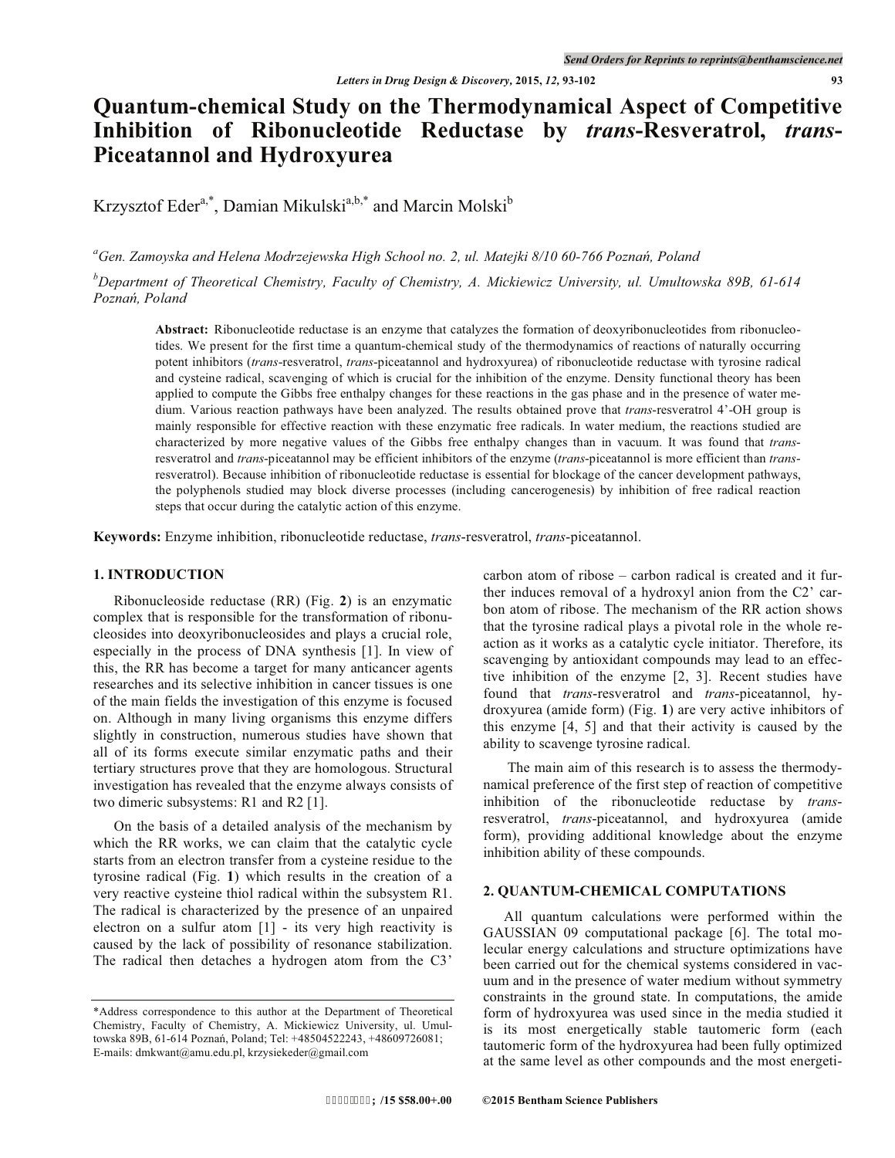# **Quantum-chemical Study on the Thermodynamical Aspect of Competitive Inhibition of Ribonucleotide Reductase by** *trans***-Resveratrol,** *trans***-Piceatannol and Hydroxyurea**

Krzysztof Eder<sup>a,\*</sup>, Damian Mikulski<sup>a,b,\*</sup> and Marcin Molski<sup>b</sup>

<sup>a</sup>Gen. Zamoyska and Helena Modrzejewska High School no. 2, ul. Matejki 8/10 60-766 Poznań, Poland

*b Department of Theoretical Chemistry, Faculty of Chemistry, A. Mickiewicz University, ul. Umultowska 89B, 61-614*  Poznań, Poland

**Abstract:** Ribonucleotide reductase is an enzyme that catalyzes the formation of deoxyribonucleotides from ribonucleotides. We present for the first time a quantum-chemical study of the thermodynamics of reactions of naturally occurring potent inhibitors (*trans*-resveratrol, *trans*-piceatannol and hydroxyurea) of ribonucleotide reductase with tyrosine radical and cysteine radical, scavenging of which is crucial for the inhibition of the enzyme. Density functional theory has been applied to compute the Gibbs free enthalpy changes for these reactions in the gas phase and in the presence of water medium. Various reaction pathways have been analyzed. The results obtained prove that *trans*-resveratrol 4'-OH group is mainly responsible for effective reaction with these enzymatic free radicals. In water medium, the reactions studied are characterized by more negative values of the Gibbs free enthalpy changes than in vacuum. It was found that *trans*resveratrol and *trans*-piceatannol may be efficient inhibitors of the enzyme (*trans*-piceatannol is more efficient than *trans*resveratrol). Because inhibition of ribonucleotide reductase is essential for blockage of the cancer development pathways, the polyphenols studied may block diverse processes (including cancerogenesis) by inhibition of free radical reaction steps that occur during the catalytic action of this enzyme.

**Keywords:** Enzyme inhibition, ribonucleotide reductase, *trans*-resveratrol, *trans*-piceatannol.

#### **1. INTRODUCTION**

Ribonucleoside reductase (RR) (Fig. **2**) is an enzymatic complex that is responsible for the transformation of ribonucleosides into deoxyribonucleosides and plays a crucial role, especially in the process of DNA synthesis [1]. In view of this, the RR has become a target for many anticancer agents researches and its selective inhibition in cancer tissues is one of the main fields the investigation of this enzyme is focused on. Although in many living organisms this enzyme differs slightly in construction, numerous studies have shown that all of its forms execute similar enzymatic paths and their tertiary structures prove that they are homologous. Structural investigation has revealed that the enzyme always consists of two dimeric subsystems: R1 and R2 [1].

On the basis of a detailed analysis of the mechanism by which the RR works, we can claim that the catalytic cycle starts from an electron transfer from a cysteine residue to the tyrosine radical (Fig. **1**) which results in the creation of a very reactive cysteine thiol radical within the subsystem R1. The radical is characterized by the presence of an unpaired electron on a sulfur atom [1] - its very high reactivity is caused by the lack of possibility of resonance stabilization. The radical then detaches a hydrogen atom from the C3'

carbon atom of ribose – carbon radical is created and it further induces removal of a hydroxyl anion from the C2' carbon atom of ribose. The mechanism of the RR action shows that the tyrosine radical plays a pivotal role in the whole reaction as it works as a catalytic cycle initiator. Therefore, its scavenging by antioxidant compounds may lead to an effective inhibition of the enzyme [2, 3]. Recent studies have found that *trans*-resveratrol and *trans*-piceatannol, hydroxyurea (amide form) (Fig. **1**) are very active inhibitors of this enzyme [4, 5] and that their activity is caused by the ability to scavenge tyrosine radical.

 The main aim of this research is to assess the thermodynamical preference of the first step of reaction of competitive inhibition of the ribonucleotide reductase by *trans*resveratrol, *trans*-piceatannol, and hydroxyurea (amide form), providing additional knowledge about the enzyme inhibition ability of these compounds.

## **2. QUANTUM-CHEMICAL COMPUTATIONS**

All quantum calculations were performed within the GAUSSIAN 09 computational package [6]. The total molecular energy calculations and structure optimizations have been carried out for the chemical systems considered in vacuum and in the presence of water medium without symmetry constraints in the ground state. In computations, the amide form of hydroxyurea was used since in the media studied it is its most energetically stable tautomeric form (each tautomeric form of the hydroxyurea had been fully optimized at the same level as other compounds and the most energeti-

<sup>\*</sup>Address correspondence to this author at the Department of Theoretical Chemistry, Faculty of Chemistry, A. Mickiewicz University, ul. Umultowska 89B, 61-614 Poznań, Poland; Tel: +48504522243, +48609726081; E-mails: dmkwant@amu.edu.pl, krzysiekeder@gmail.com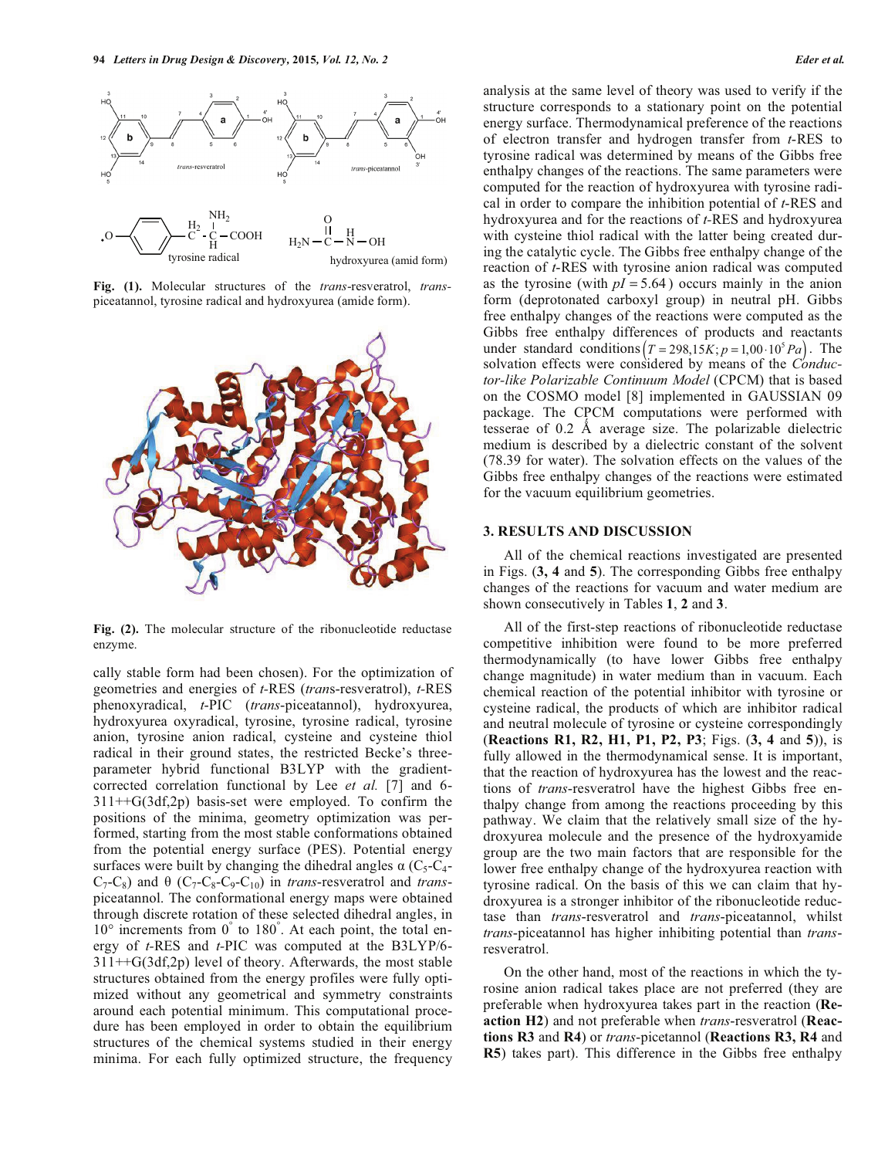

**Fig. (1).** Molecular structures of the *trans*-resveratrol, *trans*piceatannol, tyrosine radical and hydroxyurea (amide form).



**Fig. (2).** The molecular structure of the ribonucleotide reductase enzyme.

cally stable form had been chosen). For the optimization of geometries and energies of *t-*RES (*tran*s-resveratrol), *t-*RES phenoxyradical, *t*-PIC (*trans*-piceatannol), hydroxyurea, hydroxyurea oxyradical, tyrosine, tyrosine radical, tyrosine anion, tyrosine anion radical, cysteine and cysteine thiol radical in their ground states, the restricted Becke's threeparameter hybrid functional B3LYP with the gradientcorrected correlation functional by Lee *et al.* [7] and 6-  $311++G(3df,2p)$  basis-set were employed. To confirm the positions of the minima, geometry optimization was performed, starting from the most stable conformations obtained from the potential energy surface (PES). Potential energy surfaces were built by changing the dihedral angles  $\alpha$  (C<sub>5</sub>-C<sub>4</sub>- $C_7-C_8$ ) and  $\theta$  ( $C_7-C_8-C_9-C_{10}$ ) in *trans*-resveratrol and *trans*piceatannol. The conformational energy maps were obtained through discrete rotation of these selected dihedral angles, in 10° increments from 0° to 180°. At each point, the total energy of *t-*RES and *t-*PIC was computed at the B3LYP/6- 311++G(3df,2p) level of theory. Afterwards, the most stable structures obtained from the energy profiles were fully optimized without any geometrical and symmetry constraints around each potential minimum. This computational procedure has been employed in order to obtain the equilibrium structures of the chemical systems studied in their energy minima. For each fully optimized structure, the frequency

analysis at the same level of theory was used to verify if the structure corresponds to a stationary point on the potential energy surface. Thermodynamical preference of the reactions of electron transfer and hydrogen transfer from *t*-RES to tyrosine radical was determined by means of the Gibbs free enthalpy changes of the reactions. The same parameters were computed for the reaction of hydroxyurea with tyrosine radical in order to compare the inhibition potential of *t*-RES and hydroxyurea and for the reactions of *t-*RES and hydroxyurea with cysteine thiol radical with the latter being created during the catalytic cycle. The Gibbs free enthalpy change of the reaction of *t*-RES with tyrosine anion radical was computed as the tyrosine (with  $pI = 5.64$ ) occurs mainly in the anion form (deprotonated carboxyl group) in neutral pH. Gibbs free enthalpy changes of the reactions were computed as the Gibbs free enthalpy differences of products and reactants under standard conditions  $(T = 298, 15K; p = 1,00 \cdot 10^5 Pa)$ . The solvation effects were considered by means of the *Conductor-like Polarizable Continuum Model* (CPCM) that is based on the COSMO model [8] implemented in GAUSSIAN 09 package. The CPCM computations were performed with tesserae of  $0.2$  Å average size. The polarizable dielectric medium is described by a dielectric constant of the solvent (78.39 for water). The solvation effects on the values of the Gibbs free enthalpy changes of the reactions were estimated for the vacuum equilibrium geometries.

### **3. RESULTS AND DISCUSSION**

All of the chemical reactions investigated are presented in Figs. (**3, 4** and **5**). The corresponding Gibbs free enthalpy changes of the reactions for vacuum and water medium are shown consecutively in Tables **1**, **2** and **3**.

All of the first-step reactions of ribonucleotide reductase competitive inhibition were found to be more preferred thermodynamically (to have lower Gibbs free enthalpy change magnitude) in water medium than in vacuum. Each chemical reaction of the potential inhibitor with tyrosine or cysteine radical, the products of which are inhibitor radical and neutral molecule of tyrosine or cysteine correspondingly (**Reactions R1, R2, H1, P1, P2, P3**; Figs. (**3, 4** and **5**)), is fully allowed in the thermodynamical sense. It is important, that the reaction of hydroxyurea has the lowest and the reactions of *trans*-resveratrol have the highest Gibbs free enthalpy change from among the reactions proceeding by this pathway. We claim that the relatively small size of the hydroxyurea molecule and the presence of the hydroxyamide group are the two main factors that are responsible for the lower free enthalpy change of the hydroxyurea reaction with tyrosine radical. On the basis of this we can claim that hydroxyurea is a stronger inhibitor of the ribonucleotide reductase than *trans*-resveratrol and *trans*-piceatannol, whilst *trans*-piceatannol has higher inhibiting potential than *trans*resveratrol.

On the other hand, most of the reactions in which the tyrosine anion radical takes place are not preferred (they are preferable when hydroxyurea takes part in the reaction (**Reaction H2**) and not preferable when *trans*-resveratrol (**Reactions R3** and **R4**) or *trans*-picetannol (**Reactions R3, R4** and **R5**) takes part). This difference in the Gibbs free enthalpy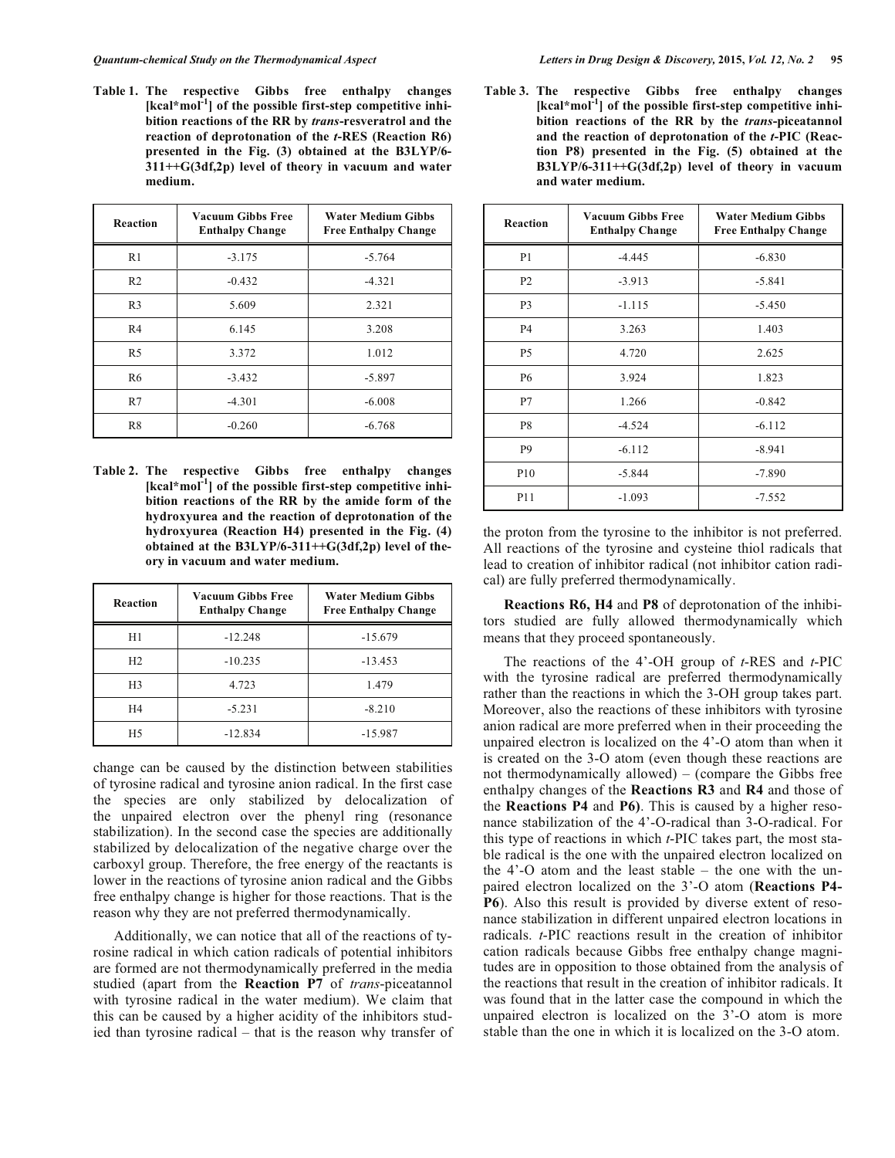**Table 1. The respective Gibbs free enthalpy changes [kcal\*mol-1] of the possible first-step competitive inhibition reactions of the RR by** *trans***-resveratrol and the reaction of deprotonation of the** *t***-RES (Reaction R6) presented in the Fig. (3) obtained at the B3LYP/6- 311++G(3df,2p) level of theory in vacuum and water medium.** 

| <b>Reaction</b> | <b>Vacuum Gibbs Free</b><br><b>Enthalpy Change</b> | Water Medium Gibbs<br><b>Free Enthalpy Change</b> |
|-----------------|----------------------------------------------------|---------------------------------------------------|
| R <sub>1</sub>  | $-3.175$                                           | $-5.764$                                          |
| R <sub>2</sub>  | $-0.432$                                           | $-4.321$                                          |
| R <sub>3</sub>  | 5.609                                              | 2.321                                             |
| R <sub>4</sub>  | 6.145                                              | 3.208                                             |
| R <sub>5</sub>  | 3.372                                              | 1.012                                             |
| R6              | $-3.432$                                           | $-5.897$                                          |
| R7              | $-4.301$                                           | $-6.008$                                          |
| R8              | $-0.260$                                           | $-6.768$                                          |

**Table 2. The respective Gibbs free enthalpy changes [kcal\*mol-1] of the possible first-step competitive inhibition reactions of the RR by the amide form of the hydroxyurea and the reaction of deprotonation of the hydroxyurea (Reaction H4) presented in the Fig. (4) obtained at the B3LYP/6-311++G(3df,2p) level of theory in vacuum and water medium.** 

| Reaction       | <b>Vacuum Gibbs Free</b><br><b>Enthalpy Change</b> | <b>Water Medium Gibbs</b><br><b>Free Enthalpy Change</b> |
|----------------|----------------------------------------------------|----------------------------------------------------------|
| H1             | $-12.248$                                          | $-15.679$                                                |
| H <sub>2</sub> | $-10.235$                                          | $-13.453$                                                |
| H <sub>3</sub> | 4.723                                              | 1.479                                                    |
| H4             | $-5.231$                                           | $-8.210$                                                 |
| H5             | $-12.834$                                          | $-15.987$                                                |

change can be caused by the distinction between stabilities of tyrosine radical and tyrosine anion radical. In the first case the species are only stabilized by delocalization of the unpaired electron over the phenyl ring (resonance stabilization). In the second case the species are additionally stabilized by delocalization of the negative charge over the carboxyl group. Therefore, the free energy of the reactants is lower in the reactions of tyrosine anion radical and the Gibbs free enthalpy change is higher for those reactions. That is the reason why they are not preferred thermodynamically.

Additionally, we can notice that all of the reactions of tyrosine radical in which cation radicals of potential inhibitors are formed are not thermodynamically preferred in the media studied (apart from the **Reaction P7** of *trans*-piceatannol with tyrosine radical in the water medium). We claim that this can be caused by a higher acidity of the inhibitors studied than tyrosine radical – that is the reason why transfer of **Table 3. The respective Gibbs free enthalpy changes [kcal\*mol-1] of the possible first-step competitive inhibition reactions of the RR by the** *trans***-piceatannol and the reaction of deprotonation of the** *t***-PIC (Reaction P8) presented in the Fig. (5) obtained at the B3LYP/6-311++G(3df,2p) level of theory in vacuum and water medium.** 

| <b>Reaction</b> | <b>Vacuum Gibbs Free</b><br><b>Enthalpy Change</b> | <b>Water Medium Gibbs</b><br><b>Free Enthalpy Change</b> |
|-----------------|----------------------------------------------------|----------------------------------------------------------|
| P <sub>1</sub>  | $-4.445$                                           | $-6.830$                                                 |
| P <sub>2</sub>  | $-3.913$                                           | $-5.841$                                                 |
| P <sub>3</sub>  | $-1.115$                                           | $-5.450$                                                 |
| P <sub>4</sub>  | 3.263                                              | 1.403                                                    |
| P <sub>5</sub>  | 4.720                                              | 2.625                                                    |
| <b>P6</b>       | 3.924                                              | 1.823                                                    |
| P7              | 1.266                                              | $-0.842$                                                 |
| P8              | $-4.524$                                           | $-6.112$                                                 |
| P <sub>9</sub>  | $-6.112$                                           | $-8.941$                                                 |
| P <sub>10</sub> | $-5.844$                                           | $-7.890$                                                 |
| P <sub>11</sub> | $-1.093$                                           | $-7.552$                                                 |

the proton from the tyrosine to the inhibitor is not preferred. All reactions of the tyrosine and cysteine thiol radicals that lead to creation of inhibitor radical (not inhibitor cation radical) are fully preferred thermodynamically.

**Reactions R6, H4** and **P8** of deprotonation of the inhibitors studied are fully allowed thermodynamically which means that they proceed spontaneously.

The reactions of the 4'-OH group of *t*-RES and *t*-PIC with the tyrosine radical are preferred thermodynamically rather than the reactions in which the 3-OH group takes part. Moreover, also the reactions of these inhibitors with tyrosine anion radical are more preferred when in their proceeding the unpaired electron is localized on the 4'-O atom than when it is created on the 3-O atom (even though these reactions are not thermodynamically allowed) – (compare the Gibbs free enthalpy changes of the **Reactions R3** and **R4** and those of the **Reactions P4** and **P6)**. This is caused by a higher resonance stabilization of the 4'-O-radical than 3-O-radical. For this type of reactions in which *t*-PIC takes part, the most stable radical is the one with the unpaired electron localized on the 4'-O atom and the least stable – the one with the unpaired electron localized on the 3'-O atom (**Reactions P4- P6**). Also this result is provided by diverse extent of resonance stabilization in different unpaired electron locations in radicals. *t*-PIC reactions result in the creation of inhibitor cation radicals because Gibbs free enthalpy change magnitudes are in opposition to those obtained from the analysis of the reactions that result in the creation of inhibitor radicals. It was found that in the latter case the compound in which the unpaired electron is localized on the 3'-O atom is more stable than the one in which it is localized on the 3-O atom.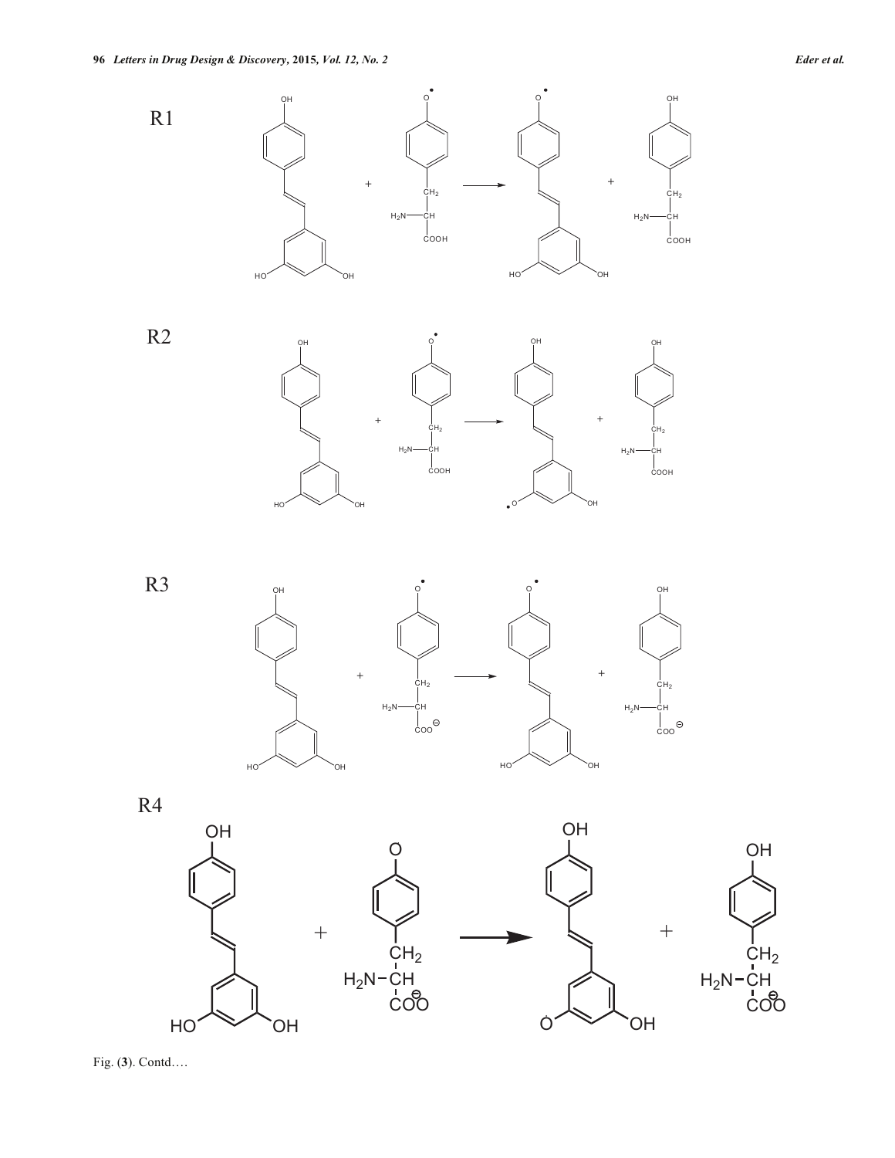





R4





Fig. (**3**). Contd….

OH

 $\rm \dot{CH}_2$ 

COO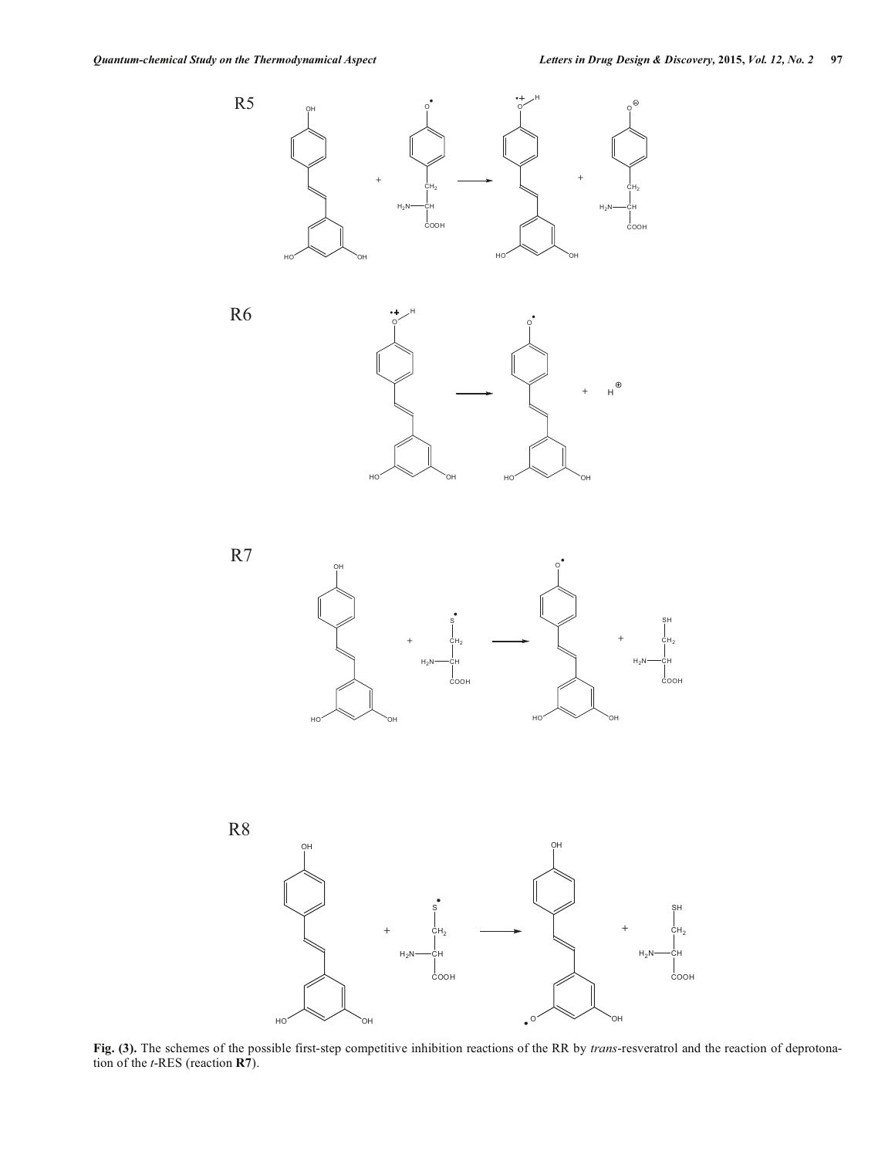









**Fig. (3).** The schemes of the possible first-step competitive inhibition reactions of the RR by *trans*-resveratrol and the reaction of deprotonation of the *t*-RES (reaction **R7**).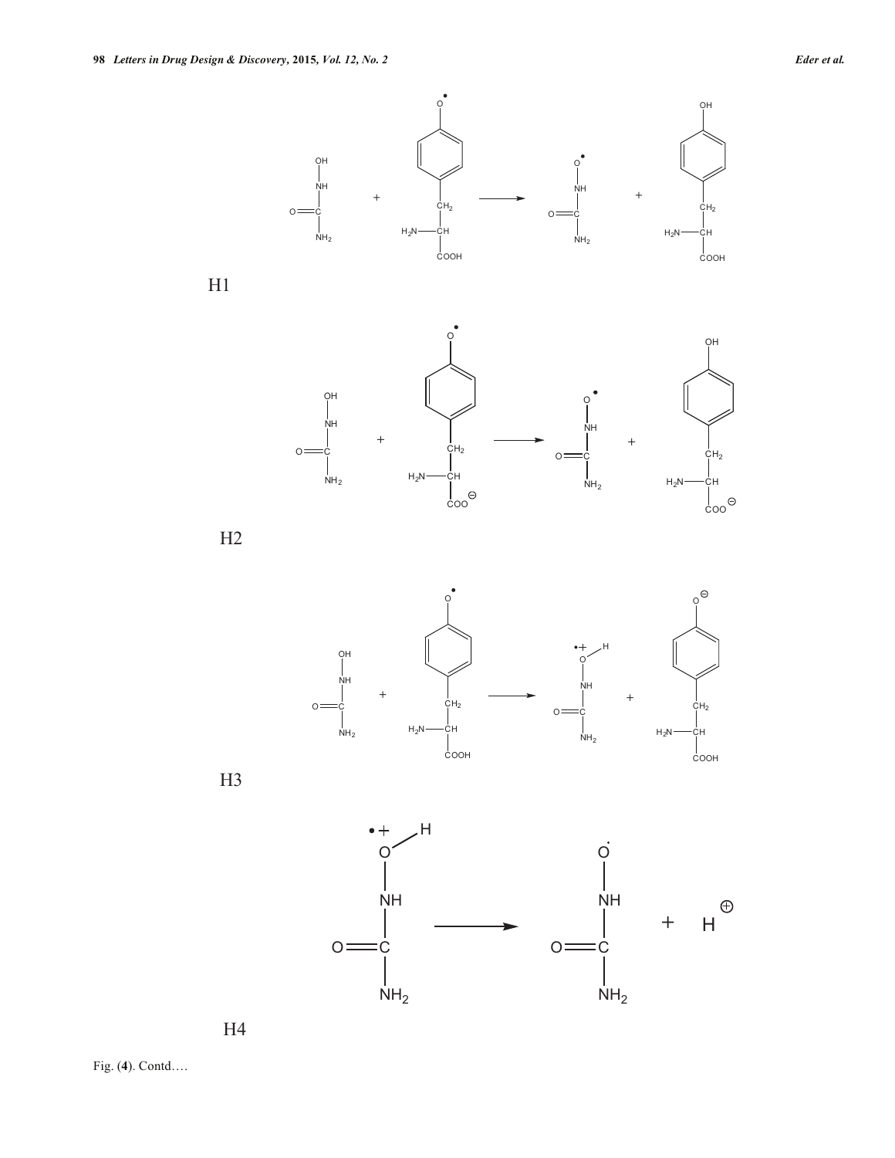





H1

 $o =$ 









Fig. (**4**). Contd….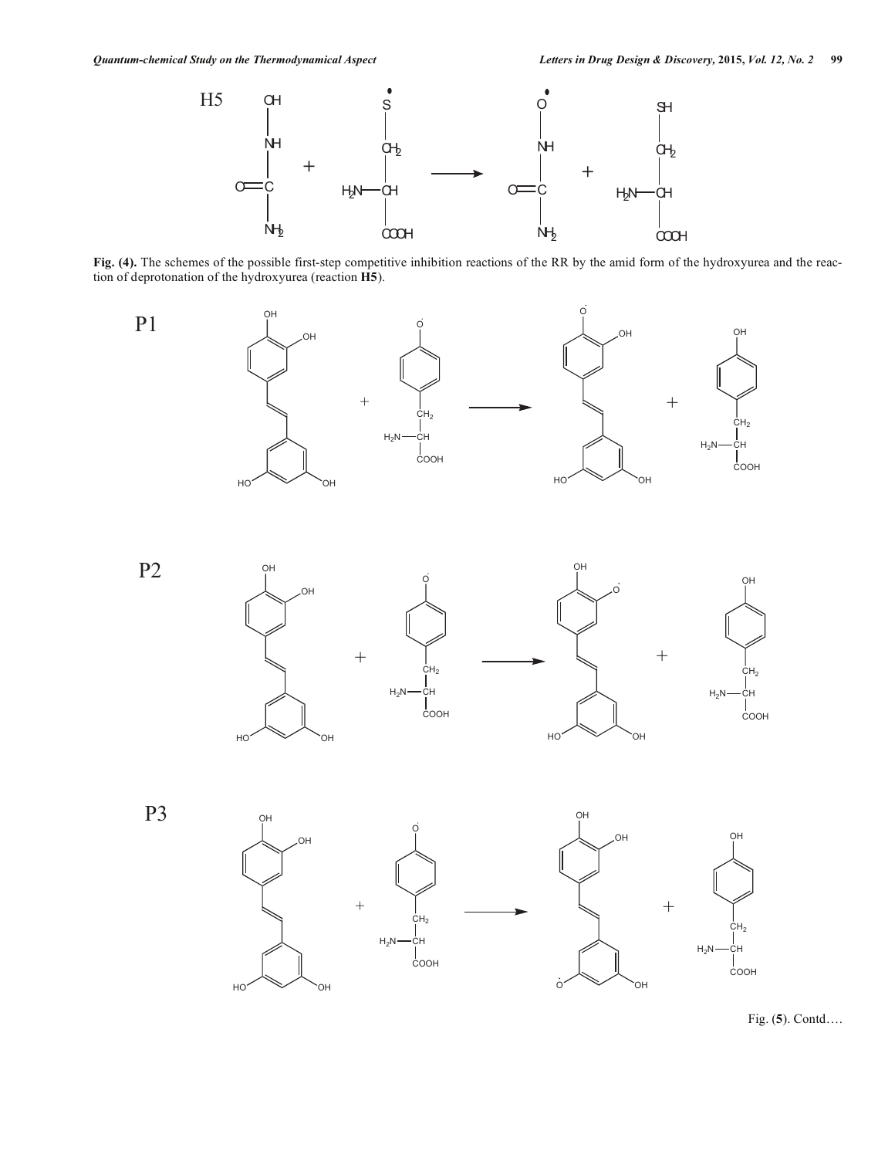

**Fig. (4).** The schemes of the possible first-step competitive inhibition reactions of the RR by the amid form of the hydroxyurea and the reaction of deprotonation of the hydroxyurea (reaction **H5**).











Fig. (**5**). Contd….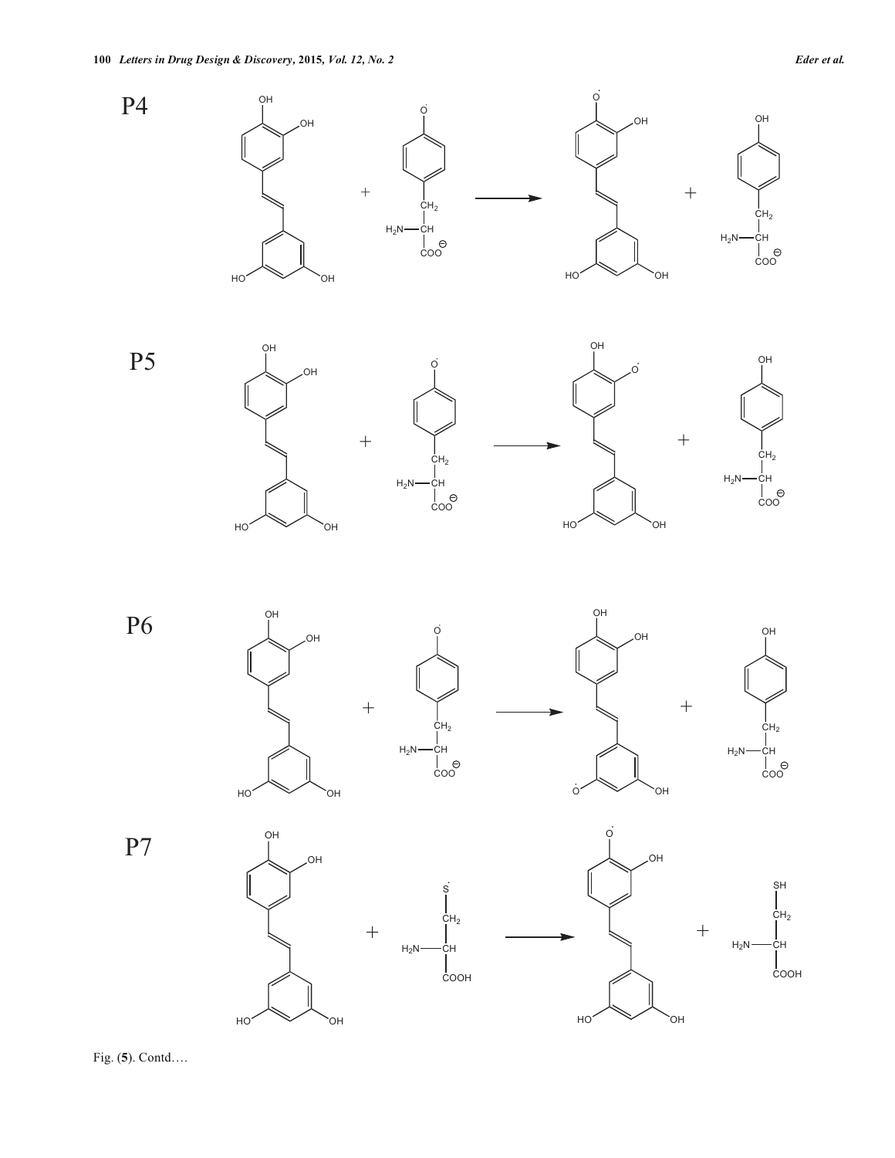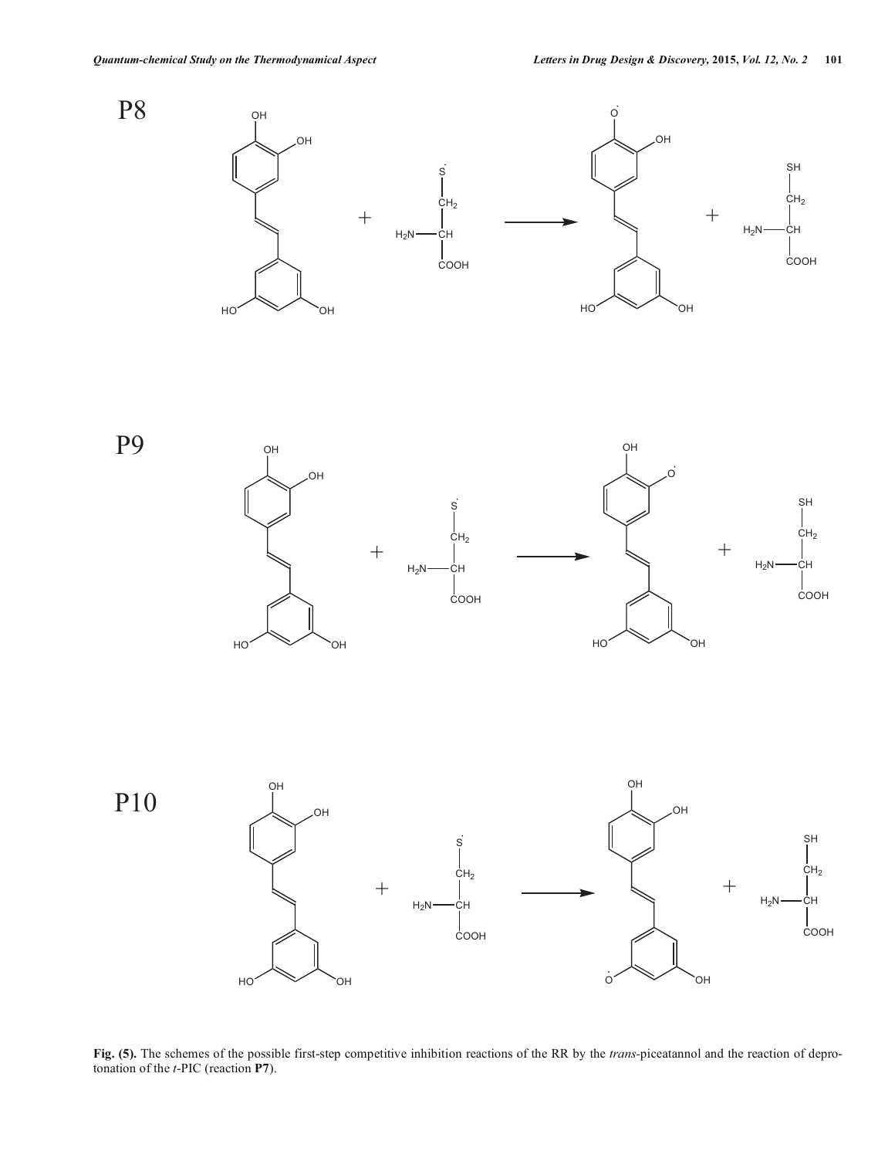

**Fig. (5).** The schemes of the possible first-step competitive inhibition reactions of the RR by the *trans-*piceatannol and the reaction of deprotonation of the *t*-PIC (reaction **P7**).